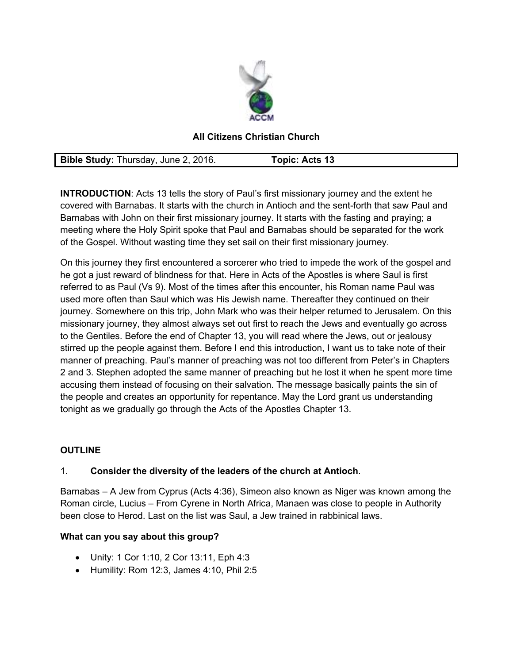

## **All Citizens Christian Church**

**Bible Study:** Thursday, June 2, 2016. **Topic: Acts 13** 

**INTRODUCTION**: Acts 13 tells the story of Paul's first missionary journey and the extent he covered with Barnabas. It starts with the church in Antioch and the sent-forth that saw Paul and Barnabas with John on their first missionary journey. It starts with the fasting and praying; a meeting where the Holy Spirit spoke that Paul and Barnabas should be separated for the work of the Gospel. Without wasting time they set sail on their first missionary journey.

On this journey they first encountered a sorcerer who tried to impede the work of the gospel and he got a just reward of blindness for that. Here in Acts of the Apostles is where Saul is first referred to as Paul (Vs 9). Most of the times after this encounter, his Roman name Paul was used more often than Saul which was His Jewish name. Thereafter they continued on their journey. Somewhere on this trip, John Mark who was their helper returned to Jerusalem. On this missionary journey, they almost always set out first to reach the Jews and eventually go across to the Gentiles. Before the end of Chapter 13, you will read where the Jews, out or jealousy stirred up the people against them. Before I end this introduction, I want us to take note of their manner of preaching. Paul's manner of preaching was not too different from Peter's in Chapters 2 and 3. Stephen adopted the same manner of preaching but he lost it when he spent more time accusing them instead of focusing on their salvation. The message basically paints the sin of the people and creates an opportunity for repentance. May the Lord grant us understanding tonight as we gradually go through the Acts of the Apostles Chapter 13.

## **OUTLINE**

## 1. **Consider the diversity of the leaders of the church at Antioch**.

Barnabas – A Jew from Cyprus (Acts 4:36), Simeon also known as Niger was known among the Roman circle, Lucius – From Cyrene in North Africa, Manaen was close to people in Authority been close to Herod. Last on the list was Saul, a Jew trained in rabbinical laws.

## **What can you say about this group?**

- Unity: 1 Cor 1:10, 2 Cor 13:11, Eph 4:3
- $\bullet$  Humility: Rom 12:3, James 4:10, Phil 2:5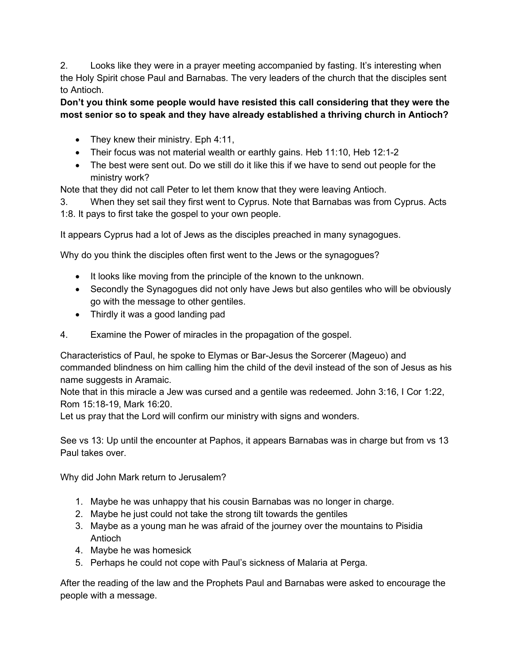2. Looks like they were in a prayer meeting accompanied by fasting. It's interesting when the Holy Spirit chose Paul and Barnabas. The very leaders of the church that the disciples sent to Antioch.

**Don't you think some people would have resisted this call considering that they were the most senior so to speak and they have already established a thriving church in Antioch?** 

- They knew their ministry. Eph 4:11,
- Their focus was not material wealth or earthly gains. Heb 11:10, Heb 12:1-2
- The best were sent out. Do we still do it like this if we have to send out people for the ministry work?

Note that they did not call Peter to let them know that they were leaving Antioch.

3. When they set sail they first went to Cyprus. Note that Barnabas was from Cyprus. Acts 1:8. It pays to first take the gospel to your own people.

It appears Cyprus had a lot of Jews as the disciples preached in many synagogues.

Why do you think the disciples often first went to the Jews or the synagogues?

- It looks like moving from the principle of the known to the unknown.
- Secondly the Synagogues did not only have Jews but also gentiles who will be obviously go with the message to other gentiles.
- Thirdly it was a good landing pad
- 4. Examine the Power of miracles in the propagation of the gospel.

Characteristics of Paul, he spoke to Elymas or Bar-Jesus the Sorcerer (Mageuo) and commanded blindness on him calling him the child of the devil instead of the son of Jesus as his name suggests in Aramaic.

Note that in this miracle a Jew was cursed and a gentile was redeemed. John 3:16, I Cor 1:22, Rom 15:18-19, Mark 16:20.

Let us pray that the Lord will confirm our ministry with signs and wonders.

See vs 13: Up until the encounter at Paphos, it appears Barnabas was in charge but from vs 13 Paul takes over.

Why did John Mark return to Jerusalem?

- 1. Maybe he was unhappy that his cousin Barnabas was no longer in charge.
- 2. Maybe he just could not take the strong tilt towards the gentiles
- 3. Maybe as a young man he was afraid of the journey over the mountains to Pisidia Antioch
- 4. Maybe he was homesick
- 5. Perhaps he could not cope with Paul's sickness of Malaria at Perga.

After the reading of the law and the Prophets Paul and Barnabas were asked to encourage the people with a message.